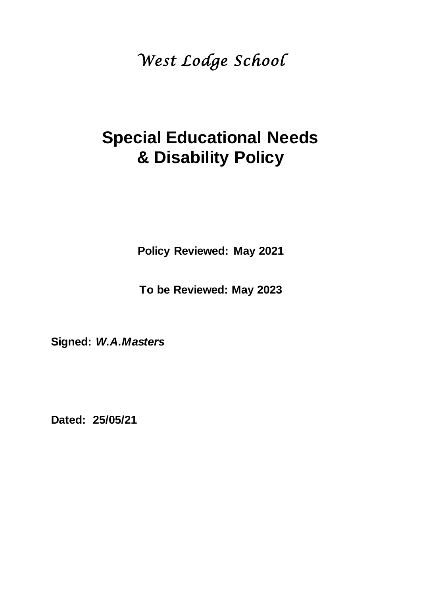*West Lodge School* 

# **Special Educational Needs & Disability Policy**

**Policy Reviewed: May 2021**

**To be Reviewed: May 2023**

**Signed:** *W.A.Masters*

**Dated: 25/05/21**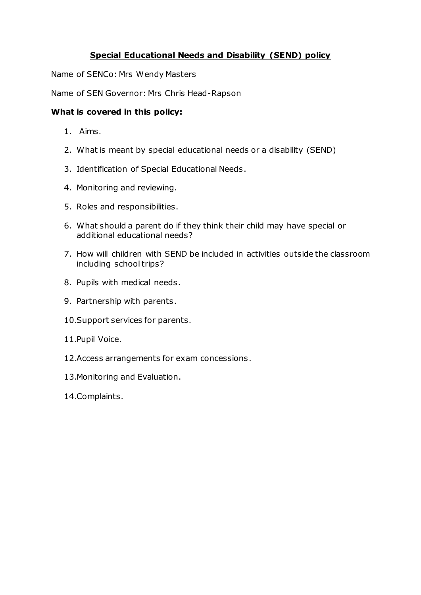# **Special Educational Needs and Disability (SEND) policy**

Name of SENCo: Mrs Wendy Masters

Name of SEN Governor: Mrs Chris Head-Rapson

#### **What is covered in this policy:**

- 1. Aims.
- 2. What is meant by special educational needs or a disability (SEND)
- 3. Identification of Special Educational Needs.
- 4. Monitoring and reviewing.
- 5. Roles and responsibilities.
- 6. What should a parent do if they think their child may have special or additional educational needs?
- 7. How will children with SEND be included in activities outside the classroom including school trips?
- 8. Pupils with medical needs.
- 9. Partnership with parents.
- 10.Support services for parents.
- 11.Pupil Voice.
- 12.Access arrangements for exam concessions.
- 13.Monitoring and Evaluation.
- 14.Complaints.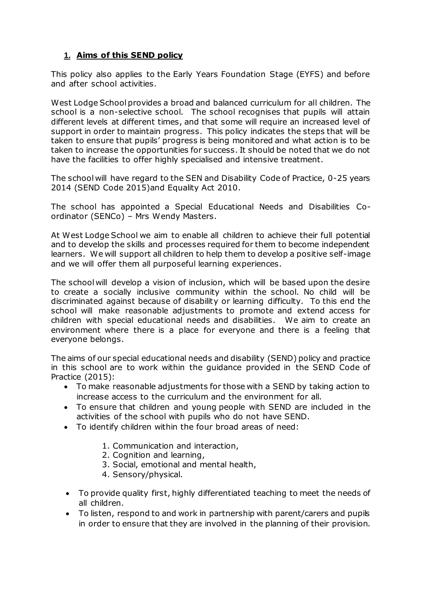# **1. Aims of this SEND policy**

This policy also applies to the Early Years Foundation Stage (EYFS) and before and after school activities.

West Lodge School provides a broad and balanced curriculum for all children. The school is a non-selective school. The school recognises that pupils will attain different levels at different times, and that some will require an increased level of support in order to maintain progress. This policy indicates the steps that will be taken to ensure that pupils' progress is being monitored and what action is to be taken to increase the opportunities for success. It should be noted that we do not have the facilities to offer highly specialised and intensive treatment.

The school will have regard to the SEN and Disability Code of Practice, 0-25 years 2014 (SEND Code 2015)and Equality Act 2010.

The school has appointed a Special Educational Needs and Disabilities Coordinator (SENCo) – Mrs Wendy Masters.

At West Lodge School we aim to enable all children to achieve their full potential and to develop the skills and processes required for them to become independent learners. We will support all children to help them to develop a positive self-image and we will offer them all purposeful learning experiences.

The school will develop a vision of inclusion, which will be based upon the desire to create a socially inclusive community within the school. No child will be discriminated against because of disability or learning difficulty. To this end the school will make reasonable adjustments to promote and extend access for children with special educational needs and disabilities. We aim to create an environment where there is a place for everyone and there is a feeling that everyone belongs.

The aims of our special educational needs and disability (SEND) policy and practice in this school are to work within the guidance provided in the SEND Code of Practice (2015):

- To make reasonable adjustments for those with a SEND by taking action to increase access to the curriculum and the environment for all.
- To ensure that children and young people with SEND are included in the activities of the school with pupils who do not have SEND.
- To identify children within the four broad areas of need:
	- 1. Communication and interaction,
	- 2. Cognition and learning,
	- 3. Social, emotional and mental health,
	- 4. Sensory/physical.
- To provide quality first, highly differentiated teaching to meet the needs of all children.
- To listen, respond to and work in partnership with parent/carers and pupils in order to ensure that they are involved in the planning of their provision.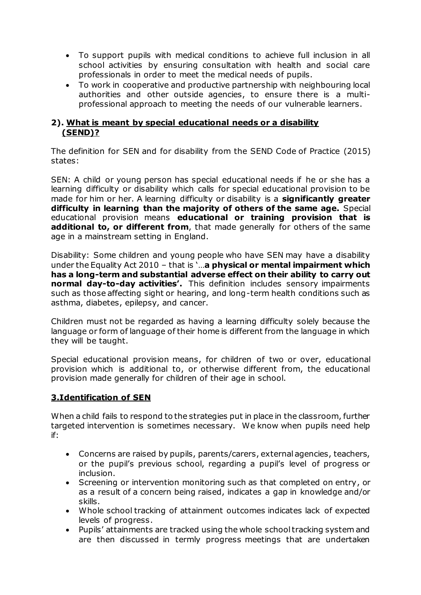- To support pupils with medical conditions to achieve full inclusion in all school activities by ensuring consultation with health and social care professionals in order to meet the medical needs of pupils.
- To work in cooperative and productive partnership with neighbouring local authorities and other outside agencies, to ensure there is a multiprofessional approach to meeting the needs of our vulnerable learners.

## **2). What is meant by special educational needs or a disability (SEND)?**

The definition for SEN and for disability from the SEND Code of Practice (2015) states:

SEN: A child or young person has special educational needs if he or she has a learning difficulty or disability which calls for special educational provision to be made for him or her. A learning difficulty or disability is a **significantly greater difficulty in learning than the majority of others of the same age.** Special educational provision means **educational or training provision that is additional to, or different from**, that made generally for others of the same age in a mainstream setting in England.

Disability: Some children and young people who have SEN may have a disability under the Equality Act 2010 – that is '…**a physical or mental impairment which has a long-term and substantial adverse effect on their ability to carry out normal day-to-day activities'.** This definition includes sensory impairments such as those affecting sight or hearing, and long-term health conditions such as asthma, diabetes, epilepsy, and cancer.

Children must not be regarded as having a learning difficulty solely because the language or form of language of their home is different from the language in which they will be taught.

Special educational provision means, for children of two or over, educational provision which is additional to, or otherwise different from, the educational provision made generally for children of their age in school.

#### **3.Identification of SEN**

When a child fails to respond to the strategies put in place in the classroom, further targeted intervention is sometimes necessary. We know when pupils need help if:

- Concerns are raised by pupils, parents/carers, external agencies, teachers, or the pupil's previous school, regarding a pupil's level of progress or inclusion.
- Screening or intervention monitoring such as that completed on entry, or as a result of a concern being raised, indicates a gap in knowledge and/or skills.
- Whole school tracking of attainment outcomes indicates lack of expected levels of progress.
- Pupils' attainments are tracked using the whole school tracking system and are then discussed in termly progress meetings that are undertaken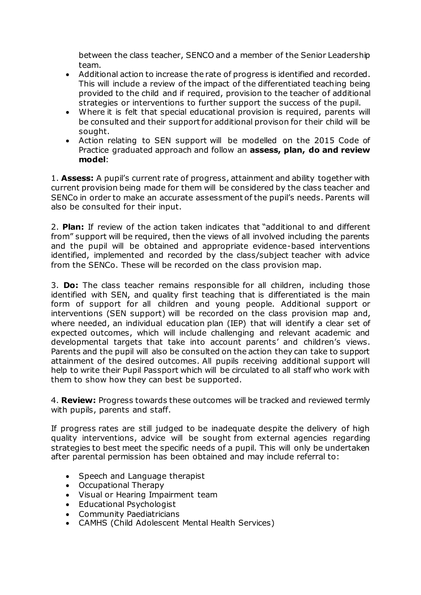between the class teacher, SENCO and a member of the Senior Leadership team.

- Additional action to increase the rate of progress is identified and recorded. This will include a review of the impact of the differentiated teaching being provided to the child and if required, provision to the teacher of additional strategies or interventions to further support the success of the pupil.
- Where it is felt that special educational provision is required, parents will be consulted and their support for additional provison for their child will be sought.
- Action relating to SEN support will be modelled on the 2015 Code of Practice graduated approach and follow an **assess, plan, do and review model**:

1. **Assess:** A pupil's current rate of progress, attainment and ability together with current provision being made for them will be considered by the class teacher and SENCo in order to make an accurate assessment of the pupil's needs. Parents will also be consulted for their input.

2. **Plan:** If review of the action taken indicates that "additional to and different from" support will be required, then the views of all involved including the parents and the pupil will be obtained and appropriate evidence-based interventions identified, implemented and recorded by the class/subject teacher with advice from the SENCo. These will be recorded on the class provision map.

3. **Do:** The class teacher remains responsible for all children, including those identified with SEN, and quality first teaching that is differentiated is the main form of support for all children and young people. Additional support or interventions (SEN support) will be recorded on the class provision map and, where needed, an individual education plan (IEP) that will identify a clear set of expected outcomes, which will include challenging and relevant academic and developmental targets that take into account parents' and children's views. Parents and the pupil will also be consulted on the action they can take to support attainment of the desired outcomes*.* All pupils receiving additional support will help to write their Pupil Passport which will be circulated to all staff who work with them to show how they can best be supported.

4. **Review:** Progress towards these outcomes will be tracked and reviewed termly with pupils, parents and staff.

If progress rates are still judged to be inadequate despite the delivery of high quality interventions, advice will be sought from external agencies regarding strategies to best meet the specific needs of a pupil. This will only be undertaken after parental permission has been obtained and may include referral to:

- Speech and Language therapist
- Occupational Therapy
- Visual or Hearing Impairment team
- Educational Psychologist
- Community Paediatricians
- CAMHS (Child Adolescent Mental Health Services)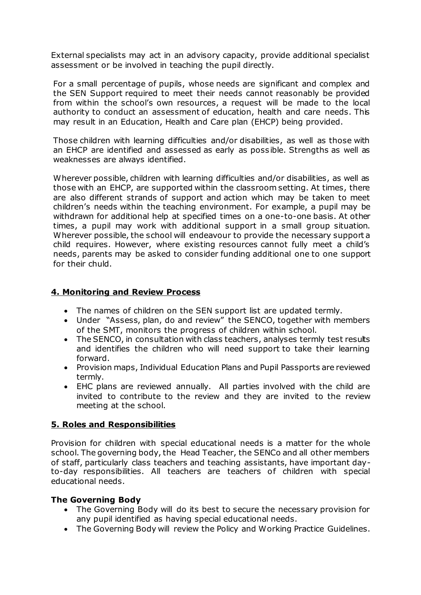External specialists may act in an advisory capacity, provide additional specialist assessment or be involved in teaching the pupil directly.

For a small percentage of pupils, whose needs are significant and complex and the SEN Support required to meet their needs cannot reasonably be provided from within the school's own resources, a request will be made to the local authority to conduct an assessment of education, health and care needs. This may result in an Education, Health and Care plan (EHCP) being provided.

Those children with learning difficulties and/or disabilities, as well as those with an EHCP are identified and assessed as early as possible. Strengths as well as weaknesses are always identified.

Wherever possible, children with learning difficulties and/or disabilities, as well as those with an EHCP, are supported within the classroom setting. At times, there are also different strands of support and action which may be taken to meet children's needs within the teaching environment. For example, a pupil may be withdrawn for additional help at specified times on a one-to-one basis. At other times, a pupil may work with additional support in a small group situation. Wherever possible, the school will endeavour to provide the necessary support a child requires. However, where existing resources cannot fully meet a child's needs, parents may be asked to consider funding additional one to one support for their chuld.

#### **4. Monitoring and Review Process**

- The names of children on the SEN support list are updated termly.
- Under "Assess, plan, do and review" the SENCO, together with members of the SMT, monitors the progress of children within school.
- The SENCO, in consultation with class teachers, analyses termly test results and identifies the children who will need support to take their learning forward.
- Provision maps, Individual Education Plans and Pupil Passports are reviewed termly.
- EHC plans are reviewed annually. All parties involved with the child are invited to contribute to the review and they are invited to the review meeting at the school.

#### **5. Roles and Responsibilities**

Provision for children with special educational needs is a matter for the whole school. The governing body, the Head Teacher, the SENCo and all other members of staff, particularly class teachers and teaching assistants, have important dayto-day responsibilities. All teachers are teachers of children with special educational needs.

#### **The Governing Body**

- The Governing Body will do its best to secure the necessary provision for any pupil identified as having special educational needs.
- The Governing Body will review the Policy and Working Practice Guidelines.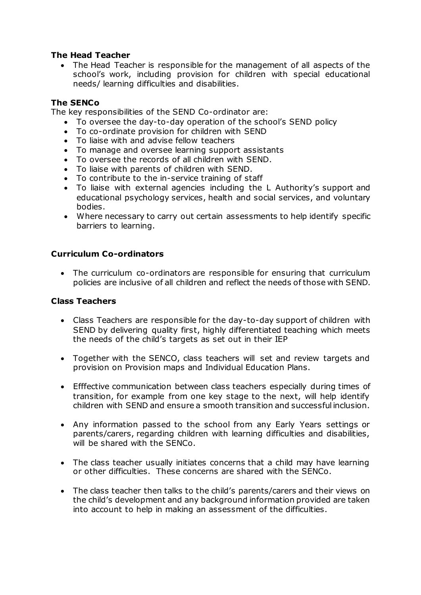## **The Head Teacher**

 The Head Teacher is responsible for the management of all aspects of the school's work, including provision for children with special educational needs/ learning difficulties and disabilities.

## **The SENCo**

The key responsibilities of the SEND Co-ordinator are:

- To oversee the day-to-day operation of the school's SEND policy
- To co-ordinate provision for children with SEND
- To liaise with and advise fellow teachers
- To manage and oversee learning support assistants
- To oversee the records of all children with SEND.
- To liaise with parents of children with SEND.
- To contribute to the in-service training of staff
- To liaise with external agencies including the L Authority's support and educational psychology services, health and social services, and voluntary bodies.
- Where necessary to carry out certain assessments to help identify specific barriers to learning.

## **Curriculum Co-ordinators**

 The curriculum co-ordinators are responsible for ensuring that curriculum policies are inclusive of all children and reflect the needs of those with SEND.

#### **Class Teachers**

- Class Teachers are responsible for the day-to-day support of children with SEND by delivering quality first, highly differentiated teaching which meets the needs of the child's targets as set out in their IEP
- Together with the SENCO, class teachers will set and review targets and provision on Provision maps and Individual Education Plans.
- Efffective communication between class teachers especially during times of transition, for example from one key stage to the next, will help identify children with SEND and ensure a smooth transition and successful inclusion.
- Any information passed to the school from any Early Years settings or parents/carers, regarding children with learning difficulties and disabilities, will be shared with the SENCo.
- The class teacher usually initiates concerns that a child may have learning or other difficulties. These concerns are shared with the SENCo.
- The class teacher then talks to the child's parents/carers and their views on the child's development and any background information provided are taken into account to help in making an assessment of the difficulties.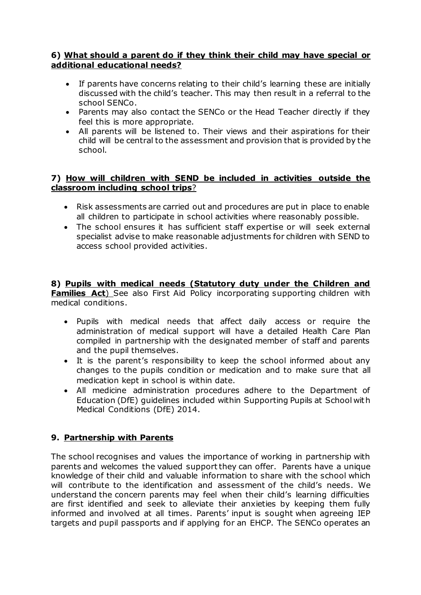## **6) What should a parent do if they think their child may have special or additional educational needs?**

- If parents have concerns relating to their child's learning these are initially discussed with the child's teacher. This may then result in a referral to the school SENCo.
- Parents may also contact the SENCo or the Head Teacher directly if they feel this is more appropriate.
- All parents will be listened to. Their views and their aspirations for their child will be central to the assessment and provision that is provided by the school.

## **7) How will children with SEND be included in activities outside the classroom including school trips**?

- Risk assessments are carried out and procedures are put in place to enable all children to participate in school activities where reasonably possible.
- The school ensures it has sufficient staff expertise or will seek external specialist advise to make reasonable adjustments for children with SEND to access school provided activities.

**8) Pupils with medical needs (Statutory duty under the Children and Families Act**) See also First Aid Policy incorporating supporting children with medical conditions.

- Pupils with medical needs that affect daily access or require the administration of medical support will have a detailed Health Care Plan compiled in partnership with the designated member of staff and parents and the pupil themselves.
- It is the parent's responsibility to keep the school informed about any changes to the pupils condition or medication and to make sure that all medication kept in school is within date.
- All medicine administration procedures adhere to the Department of Education (DfE) guidelines included within Supporting Pupils at School with Medical Conditions (DfE) 2014.

# **9. Partnership with Parents**

The school recognises and values the importance of working in partnership with parents and welcomes the valued support they can offer. Parents have a unique knowledge of their child and valuable information to share with the school which will contribute to the identification and assessment of the child's needs. We understand the concern parents may feel when their child's learning difficulties are first identified and seek to alleviate their anxieties by keeping them fully informed and involved at all times. Parents' input is sought when agreeing IEP targets and pupil passports and if applying for an EHCP. The SENCo operates an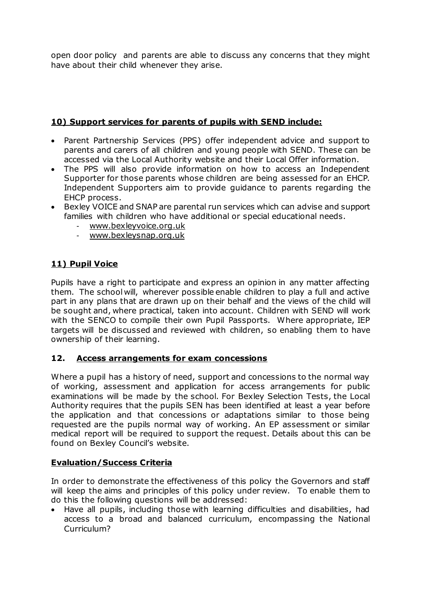open door policy and parents are able to discuss any concerns that they might have about their child whenever they arise.

## **10) Support services for parents of pupils with SEND include:**

- Parent Partnership Services (PPS) offer independent advice and support to parents and carers of all children and young people with SEND. These can be accessed via the Local Authority website and their Local Offer information.
- The PPS will also provide information on how to access an Independent Supporter for those parents whose children are being assessed for an EHCP. Independent Supporters aim to provide guidance to parents regarding the EHCP process.
- Bexley VOICE and SNAP are parental run services which can advise and support families with children who have additional or special educational needs.
	- [www.bexleyvoice.org.uk](http://www.bexleyvoice.org.uk/)
	- [www.bexleysnap.org.uk](http://www.bexleysnap.org.uk/)

# **11) Pupil Voice**

Pupils have a right to participate and express an opinion in any matter affecting them. The school will, wherever possible enable children to play a full and active part in any plans that are drawn up on their behalf and the views of the child will be sought and, where practical, taken into account. Children with SEND will work with the SENCO to compile their own Pupil Passports. Where appropriate, IEP targets will be discussed and reviewed with children, so enabling them to have ownership of their learning.

#### **12. Access arrangements for exam concessions**

Where a pupil has a history of need, support and concessions to the normal way of working, assessment and application for access arrangements for public examinations will be made by the school. For Bexley Selection Tests, the Local Authority requires that the pupils SEN has been identified at least a year before the application and that concessions or adaptations similar to those being requested are the pupils normal way of working. An EP assessment or similar medical report will be required to support the request. Details about this can be found on Bexley Council's website.

# **Evaluation/Success Criteria**

In order to demonstrate the effectiveness of this policy the Governors and staff will keep the aims and principles of this policy under review. To enable them to do this the following questions will be addressed:

 Have all pupils, including those with learning difficulties and disabilities, had access to a broad and balanced curriculum, encompassing the National Curriculum?